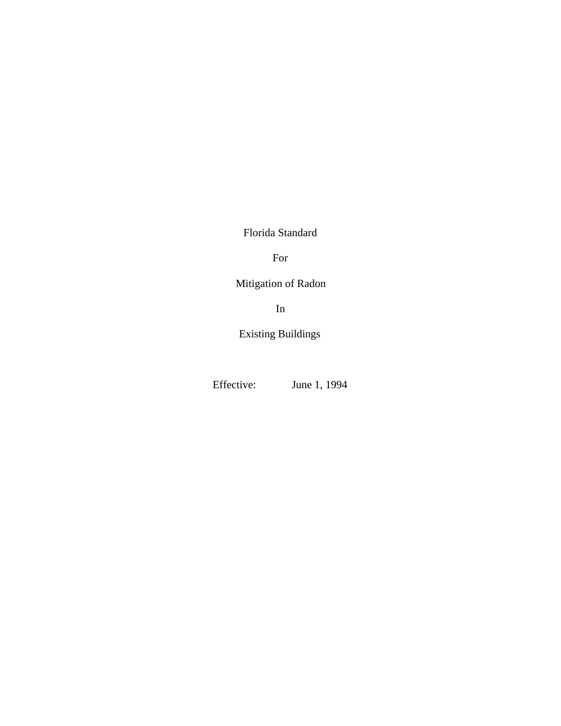Florida Standard

For

Mitigation of Radon

In

Existing Buildings

Effective: June 1, 1994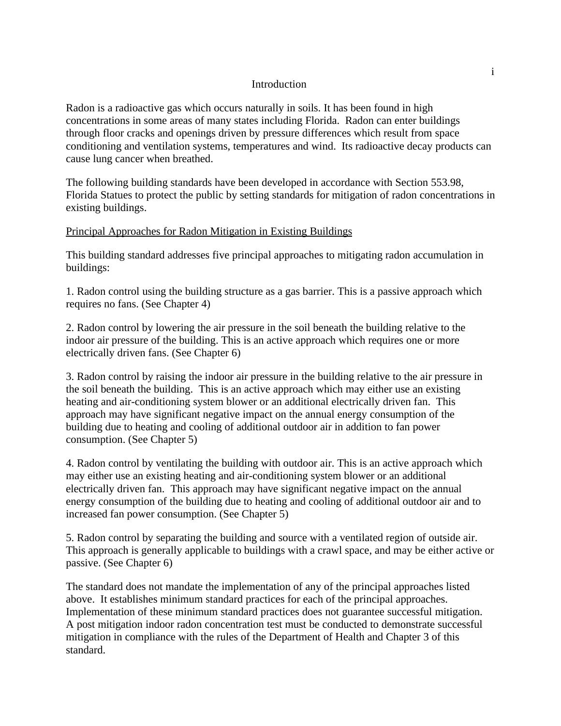#### **Introduction**

Radon is a radioactive gas which occurs naturally in soils. It has been found in high concentrations in some areas of many states including Florida. Radon can enter buildings through floor cracks and openings driven by pressure differences which result from space conditioning and ventilation systems, temperatures and wind. Its radioactive decay products can cause lung cancer when breathed.

The following building standards have been developed in accordance with Section 553.98, Florida Statues to protect the public by setting standards for mitigation of radon concentrations in existing buildings.

#### Principal Approaches for Radon Mitigation in Existing Buildings

This building standard addresses five principal approaches to mitigating radon accumulation in buildings:

1. Radon control using the building structure as a gas barrier. This is a passive approach which requires no fans. (See Chapter 4)

2. Radon control by lowering the air pressure in the soil beneath the building relative to the indoor air pressure of the building. This is an active approach which requires one or more electrically driven fans. (See Chapter 6)

3. Radon control by raising the indoor air pressure in the building relative to the air pressure in the soil beneath the building. This is an active approach which may either use an existing heating and air-conditioning system blower or an additional electrically driven fan. This approach may have significant negative impact on the annual energy consumption of the building due to heating and cooling of additional outdoor air in addition to fan power consumption. (See Chapter 5)

4. Radon control by ventilating the building with outdoor air. This is an active approach which may either use an existing heating and air-conditioning system blower or an additional electrically driven fan. This approach may have significant negative impact on the annual energy consumption of the building due to heating and cooling of additional outdoor air and to increased fan power consumption. (See Chapter 5)

5. Radon control by separating the building and source with a ventilated region of outside air. This approach is generally applicable to buildings with a crawl space, and may be either active or passive. (See Chapter 6)

The standard does not mandate the implementation of any of the principal approaches listed above. It establishes minimum standard practices for each of the principal approaches. Implementation of these minimum standard practices does not guarantee successful mitigation. A post mitigation indoor radon concentration test must be conducted to demonstrate successful mitigation in compliance with the rules of the Department of Health and Chapter 3 of this standard.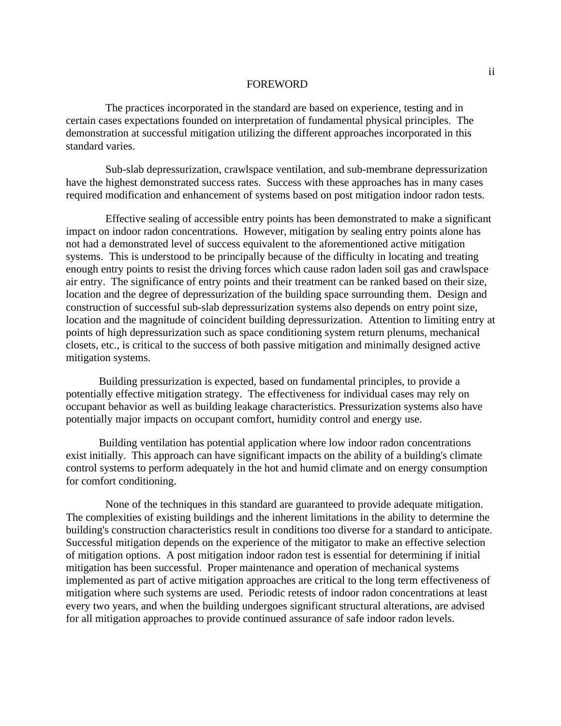#### FOREWORD

The practices incorporated in the standard are based on experience, testing and in certain cases expectations founded on interpretation of fundamental physical principles. The demonstration at successful mitigation utilizing the different approaches incorporated in this standard varies.

Sub-slab depressurization, crawlspace ventilation, and sub-membrane depressurization have the highest demonstrated success rates. Success with these approaches has in many cases required modification and enhancement of systems based on post mitigation indoor radon tests.

Effective sealing of accessible entry points has been demonstrated to make a significant impact on indoor radon concentrations. However, mitigation by sealing entry points alone has not had a demonstrated level of success equivalent to the aforementioned active mitigation systems. This is understood to be principally because of the difficulty in locating and treating enough entry points to resist the driving forces which cause radon laden soil gas and crawlspace air entry. The significance of entry points and their treatment can be ranked based on their size, location and the degree of depressurization of the building space surrounding them. Design and construction of successful sub-slab depressurization systems also depends on entry point size, location and the magnitude of coincident building depressurization. Attention to limiting entry at points of high depressurization such as space conditioning system return plenums, mechanical closets, etc., is critical to the success of both passive mitigation and minimally designed active mitigation systems.

Building pressurization is expected, based on fundamental principles, to provide a potentially effective mitigation strategy. The effectiveness for individual cases may rely on occupant behavior as well as building leakage characteristics. Pressurization systems also have potentially major impacts on occupant comfort, humidity control and energy use.

Building ventilation has potential application where low indoor radon concentrations exist initially. This approach can have significant impacts on the ability of a building's climate control systems to perform adequately in the hot and humid climate and on energy consumption for comfort conditioning.

None of the techniques in this standard are guaranteed to provide adequate mitigation. The complexities of existing buildings and the inherent limitations in the ability to determine the building's construction characteristics result in conditions too diverse for a standard to anticipate. Successful mitigation depends on the experience of the mitigator to make an effective selection of mitigation options. A post mitigation indoor radon test is essential for determining if initial mitigation has been successful. Proper maintenance and operation of mechanical systems implemented as part of active mitigation approaches are critical to the long term effectiveness of mitigation where such systems are used. Periodic retests of indoor radon concentrations at least every two years, and when the building undergoes significant structural alterations, are advised for all mitigation approaches to provide continued assurance of safe indoor radon levels.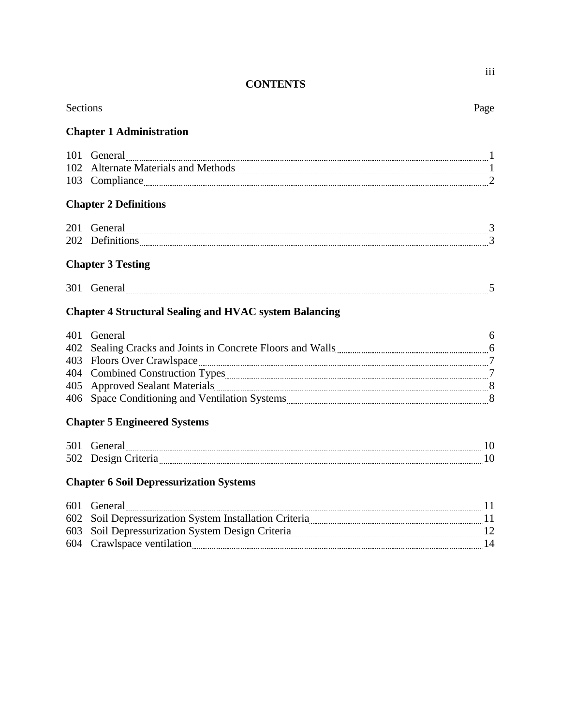# **CONTENTS**

| <b>Sections</b> | <u> 1989 - Andrea Station Barbara, amerikan per</u>                                                                                      | Page |
|-----------------|------------------------------------------------------------------------------------------------------------------------------------------|------|
|                 | <b>Chapter 1 Administration</b>                                                                                                          |      |
|                 |                                                                                                                                          |      |
| 102             |                                                                                                                                          |      |
|                 | 103 Compliance 2                                                                                                                         |      |
|                 | <b>Chapter 2 Definitions</b>                                                                                                             |      |
|                 | 201 General 200 General 200 1 3                                                                                                          |      |
|                 | 202 Definitions 202 Definitions 202 Definitions 202 Definitions 202 Definitions 202 Definitions 202 Definitions                          |      |
|                 | <b>Chapter 3 Testing</b>                                                                                                                 |      |
|                 |                                                                                                                                          |      |
|                 | <b>Chapter 4 Structural Sealing and HVAC system Balancing</b>                                                                            |      |
| 401             | General                                                                                                                                  |      |
|                 | 402 Sealing Cracks and Joints in Concrete Floors and Walls <b>Election</b> 6 6402 Sealing Cracks and Joints in Concrete Floors and Walls |      |
|                 |                                                                                                                                          |      |
|                 |                                                                                                                                          |      |
|                 |                                                                                                                                          |      |
|                 | 406 Space Conditioning and Ventilation Systems <b>Construction</b> 2016 100 Space Conditioning and Ventilation Systems                   |      |
|                 | <b>Chapter 5 Engineered Systems</b>                                                                                                      |      |
|                 |                                                                                                                                          |      |
|                 | 502 Design Criteria 2008 2009 10                                                                                                         |      |
|                 | <b>Chapter 6 Soil Depressurization Systems</b>                                                                                           |      |
|                 |                                                                                                                                          | -11  |

| 602 Soil Depressurization System Installation Criteria |  |
|--------------------------------------------------------|--|
| 603 Soil Depressurization System Design Criteria       |  |
| 604 Crawlspace ventilation                             |  |
|                                                        |  |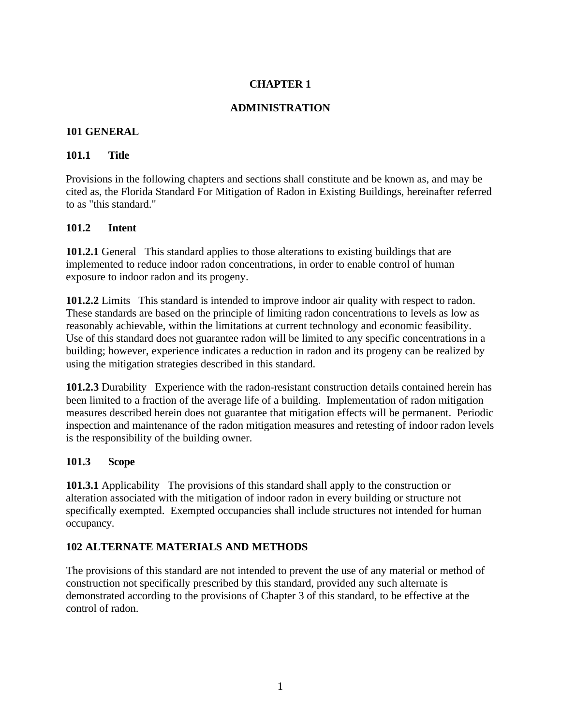# **ADMINISTRATION**

#### **101 GENERAL**

# **101.1 Title**

Provisions in the following chapters and sections shall constitute and be known as, and may be cited as, the Florida Standard For Mitigation of Radon in Existing Buildings, hereinafter referred to as "this standard."

# **101.2 Intent**

**101.2.1** General This standard applies to those alterations to existing buildings that are implemented to reduce indoor radon concentrations, in order to enable control of human exposure to indoor radon and its progeny.

**101.2.2** Limits This standard is intended to improve indoor air quality with respect to radon. These standards are based on the principle of limiting radon concentrations to levels as low as reasonably achievable, within the limitations at current technology and economic feasibility. Use of this standard does not guarantee radon will be limited to any specific concentrations in a building; however, experience indicates a reduction in radon and its progeny can be realized by using the mitigation strategies described in this standard.

**101.2.3** Durability Experience with the radon-resistant construction details contained herein has been limited to a fraction of the average life of a building. Implementation of radon mitigation measures described herein does not guarantee that mitigation effects will be permanent. Periodic inspection and maintenance of the radon mitigation measures and retesting of indoor radon levels is the responsibility of the building owner.

# **101.3 Scope**

**101.3.1** Applicability The provisions of this standard shall apply to the construction or alteration associated with the mitigation of indoor radon in every building or structure not specifically exempted. Exempted occupancies shall include structures not intended for human occupancy.

# **102 ALTERNATE MATERIALS AND METHODS**

The provisions of this standard are not intended to prevent the use of any material or method of construction not specifically prescribed by this standard, provided any such alternate is demonstrated according to the provisions of Chapter 3 of this standard, to be effective at the control of radon.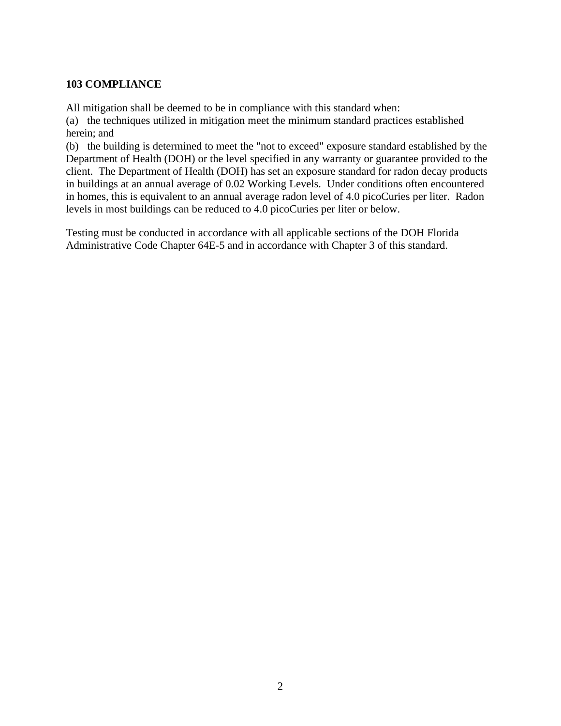# **103 COMPLIANCE**

All mitigation shall be deemed to be in compliance with this standard when:

(a) the techniques utilized in mitigation meet the minimum standard practices established herein; and

(b) the building is determined to meet the "not to exceed" exposure standard established by the Department of Health (DOH) or the level specified in any warranty or guarantee provided to the client. The Department of Health (DOH) has set an exposure standard for radon decay products in buildings at an annual average of 0.02 Working Levels. Under conditions often encountered in homes, this is equivalent to an annual average radon level of 4.0 picoCuries per liter. Radon levels in most buildings can be reduced to 4.0 picoCuries per liter or below.

Testing must be conducted in accordance with all applicable sections of the DOH Florida Administrative Code Chapter 64E-5 and in accordance with Chapter 3 of this standard.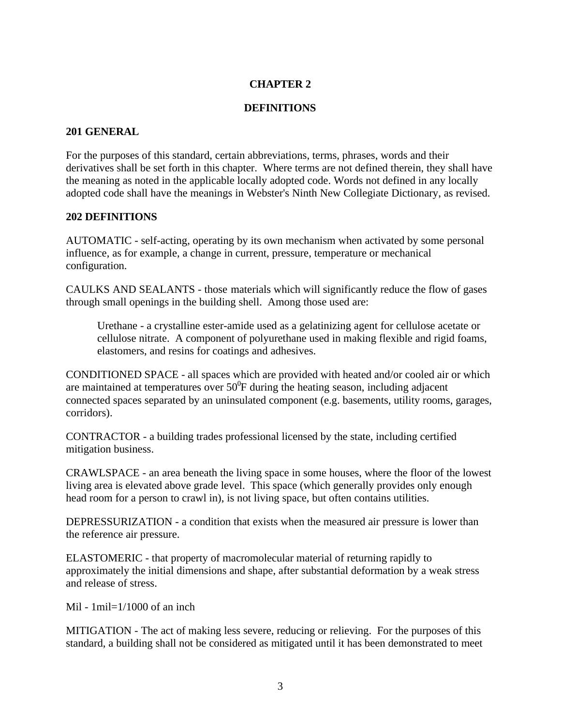#### **DEFINITIONS**

#### **201 GENERAL**

For the purposes of this standard, certain abbreviations, terms, phrases, words and their derivatives shall be set forth in this chapter. Where terms are not defined therein, they shall have the meaning as noted in the applicable locally adopted code. Words not defined in any locally adopted code shall have the meanings in Webster's Ninth New Collegiate Dictionary, as revised.

#### **202 DEFINITIONS**

AUTOMATIC - self-acting, operating by its own mechanism when activated by some personal influence, as for example, a change in current, pressure, temperature or mechanical configuration.

CAULKS AND SEALANTS - those materials which will significantly reduce the flow of gases through small openings in the building shell. Among those used are:

Urethane - a crystalline ester-amide used as a gelatinizing agent for cellulose acetate or cellulose nitrate. A component of polyurethane used in making flexible and rigid foams, elastomers, and resins for coatings and adhesives.

CONDITIONED SPACE - all spaces which are provided with heated and/or cooled air or which are maintained at temperatures over  $50^{\circ}$ F during the heating season, including adjacent connected spaces separated by an uninsulated component (e.g. basements, utility rooms, garages, corridors).

CONTRACTOR - a building trades professional licensed by the state, including certified mitigation business.

CRAWLSPACE - an area beneath the living space in some houses, where the floor of the lowest living area is elevated above grade level. This space (which generally provides only enough head room for a person to crawl in), is not living space, but often contains utilities.

DEPRESSURIZATION - a condition that exists when the measured air pressure is lower than the reference air pressure.

ELASTOMERIC - that property of macromolecular material of returning rapidly to approximately the initial dimensions and shape, after substantial deformation by a weak stress and release of stress.

Mil -  $1$ mil $=1/1000$  of an inch

MITIGATION - The act of making less severe, reducing or relieving. For the purposes of this standard, a building shall not be considered as mitigated until it has been demonstrated to meet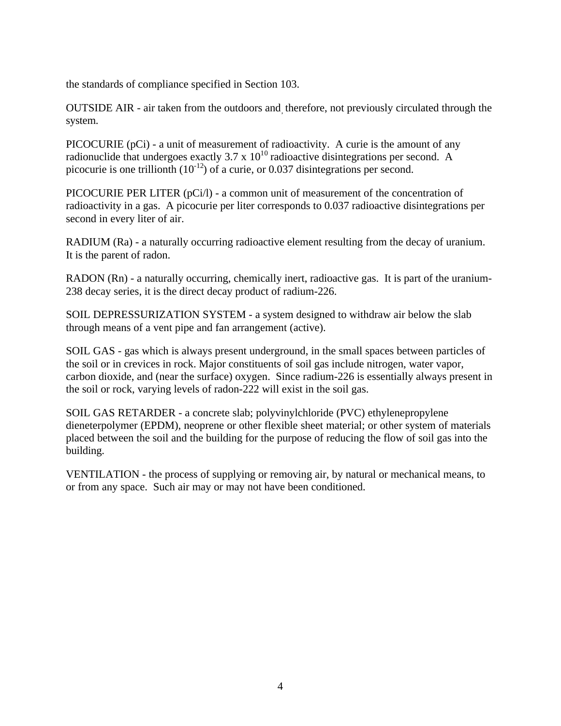the standards of compliance specified in Section 103.

OUTSIDE AIR - air taken from the outdoors and, therefore, not previously circulated through the system.

PICOCURIE (pCi) - a unit of measurement of radioactivity. A curie is the amount of any radionuclide that undergoes exactly  $3.7 \times 10^{10}$  radioactive disintegrations per second. A picocurie is one trillionth  $(10^{-12})$  of a curie, or 0.037 disintegrations per second.

PICOCURIE PER LITER (pCi/l) - a common unit of measurement of the concentration of radioactivity in a gas. A picocurie per liter corresponds to 0.037 radioactive disintegrations per second in every liter of air.

RADIUM (Ra) - a naturally occurring radioactive element resulting from the decay of uranium. It is the parent of radon.

RADON (Rn) - a naturally occurring, chemically inert, radioactive gas. It is part of the uranium-238 decay series, it is the direct decay product of radium-226.

SOIL DEPRESSURIZATION SYSTEM - a system designed to withdraw air below the slab through means of a vent pipe and fan arrangement (active).

SOIL GAS - gas which is always present underground, in the small spaces between particles of the soil or in crevices in rock. Major constituents of soil gas include nitrogen, water vapor, carbon dioxide, and (near the surface) oxygen. Since radium-226 is essentially always present in the soil or rock, varying levels of radon-222 will exist in the soil gas.

SOIL GAS RETARDER - a concrete slab; polyvinylchloride (PVC) ethylenepropylene dieneterpolymer (EPDM), neoprene or other flexible sheet material; or other system of materials placed between the soil and the building for the purpose of reducing the flow of soil gas into the building.

VENTILATION - the process of supplying or removing air, by natural or mechanical means, to or from any space. Such air may or may not have been conditioned.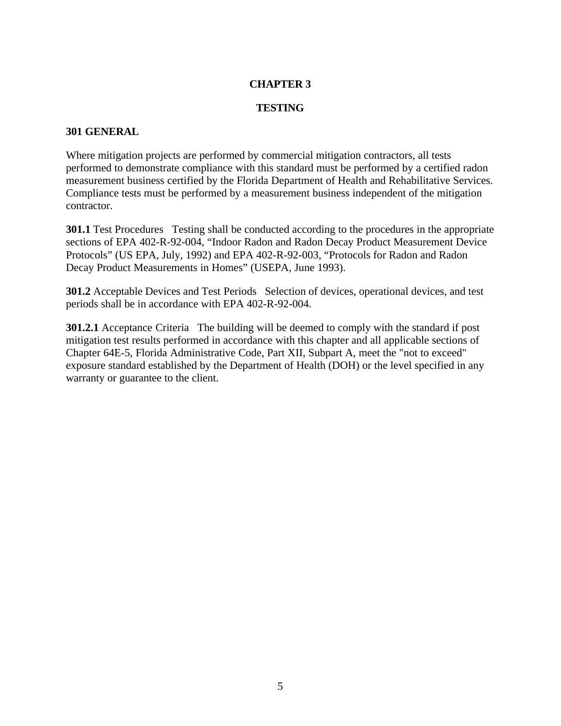#### **TESTING**

#### **301 GENERAL**

Where mitigation projects are performed by commercial mitigation contractors, all tests performed to demonstrate compliance with this standard must be performed by a certified radon measurement business certified by the Florida Department of Health and Rehabilitative Services. Compliance tests must be performed by a measurement business independent of the mitigation contractor.

**301.1** Test Procedures Testing shall be conducted according to the procedures in the appropriate sections of EPA 402-R-92-004, "Indoor Radon and Radon Decay Product Measurement Device Protocols" (US EPA, July, 1992) and EPA 402-R-92-003, "Protocols for Radon and Radon Decay Product Measurements in Homes" (USEPA, June 1993).

**301.2** Acceptable Devices and Test Periods Selection of devices, operational devices, and test periods shall be in accordance with EPA 402-R-92-004.

**301.2.1** Acceptance Criteria The building will be deemed to comply with the standard if post mitigation test results performed in accordance with this chapter and all applicable sections of Chapter 64E-5, Florida Administrative Code, Part XII, Subpart A, meet the "not to exceed" exposure standard established by the Department of Health (DOH) or the level specified in any warranty or guarantee to the client.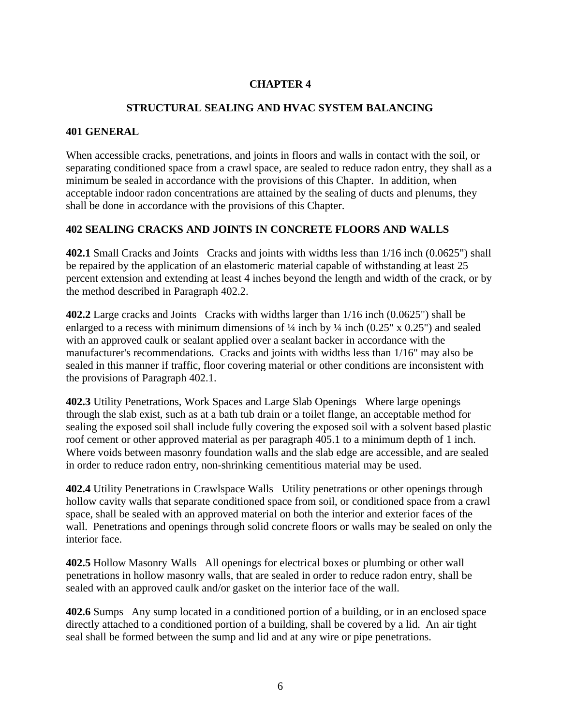# **STRUCTURAL SEALING AND HVAC SYSTEM BALANCING**

#### **401 GENERAL**

When accessible cracks, penetrations, and joints in floors and walls in contact with the soil, or separating conditioned space from a crawl space, are sealed to reduce radon entry, they shall as a minimum be sealed in accordance with the provisions of this Chapter. In addition, when acceptable indoor radon concentrations are attained by the sealing of ducts and plenums, they shall be done in accordance with the provisions of this Chapter.

# **402 SEALING CRACKS AND JOINTS IN CONCRETE FLOORS AND WALLS**

**402.1** Small Cracks and Joints Cracks and joints with widths less than 1/16 inch (0.0625") shall be repaired by the application of an elastomeric material capable of withstanding at least 25 percent extension and extending at least 4 inches beyond the length and width of the crack, or by the method described in Paragraph 402.2.

**402.2** Large cracks and Joints Cracks with widths larger than 1/16 inch (0.0625") shall be enlarged to a recess with minimum dimensions of  $\frac{1}{4}$  inch by  $\frac{1}{4}$  inch (0.25" x 0.25") and sealed with an approved caulk or sealant applied over a sealant backer in accordance with the manufacturer's recommendations. Cracks and joints with widths less than 1/16" may also be sealed in this manner if traffic, floor covering material or other conditions are inconsistent with the provisions of Paragraph 402.1.

**402.3** Utility Penetrations, Work Spaces and Large Slab Openings Where large openings through the slab exist, such as at a bath tub drain or a toilet flange, an acceptable method for sealing the exposed soil shall include fully covering the exposed soil with a solvent based plastic roof cement or other approved material as per paragraph 405.1 to a minimum depth of 1 inch. Where voids between masonry foundation walls and the slab edge are accessible, and are sealed in order to reduce radon entry, non-shrinking cementitious material may be used.

**402.4** Utility Penetrations in Crawlspace Walls Utility penetrations or other openings through hollow cavity walls that separate conditioned space from soil, or conditioned space from a crawl space, shall be sealed with an approved material on both the interior and exterior faces of the wall. Penetrations and openings through solid concrete floors or walls may be sealed on only the interior face.

**402.5** Hollow Masonry Walls All openings for electrical boxes or plumbing or other wall penetrations in hollow masonry walls, that are sealed in order to reduce radon entry, shall be sealed with an approved caulk and/or gasket on the interior face of the wall.

**402.6** Sumps Any sump located in a conditioned portion of a building, or in an enclosed space directly attached to a conditioned portion of a building, shall be covered by a lid. An air tight seal shall be formed between the sump and lid and at any wire or pipe penetrations.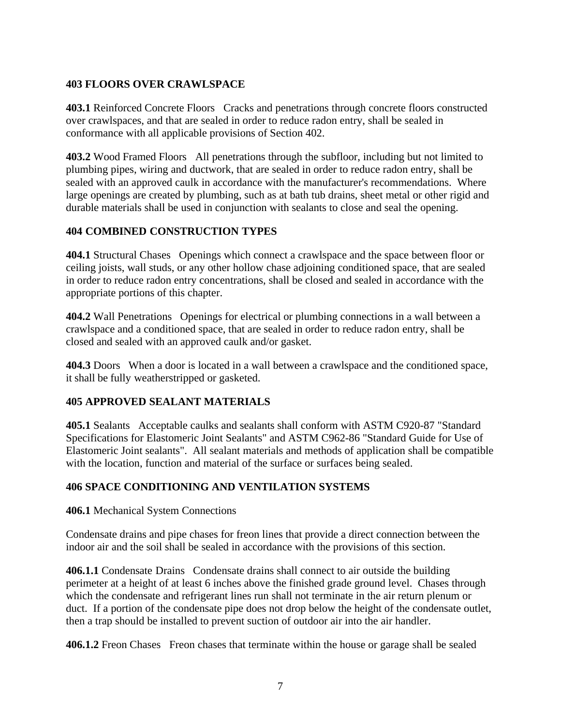# **403 FLOORS OVER CRAWLSPACE**

**403.1** Reinforced Concrete Floors Cracks and penetrations through concrete floors constructed over crawlspaces, and that are sealed in order to reduce radon entry, shall be sealed in conformance with all applicable provisions of Section 402.

**403.2** Wood Framed Floors All penetrations through the subfloor, including but not limited to plumbing pipes, wiring and ductwork, that are sealed in order to reduce radon entry, shall be sealed with an approved caulk in accordance with the manufacturer's recommendations. Where large openings are created by plumbing, such as at bath tub drains, sheet metal or other rigid and durable materials shall be used in conjunction with sealants to close and seal the opening.

# **404 COMBINED CONSTRUCTION TYPES**

**404.1** Structural Chases Openings which connect a crawlspace and the space between floor or ceiling joists, wall studs, or any other hollow chase adjoining conditioned space, that are sealed in order to reduce radon entry concentrations, shall be closed and sealed in accordance with the appropriate portions of this chapter.

**404.2** Wall Penetrations Openings for electrical or plumbing connections in a wall between a crawlspace and a conditioned space, that are sealed in order to reduce radon entry, shall be closed and sealed with an approved caulk and/or gasket.

**404.3** Doors When a door is located in a wall between a crawlspace and the conditioned space, it shall be fully weatherstripped or gasketed.

#### **405 APPROVED SEALANT MATERIALS**

**405.1** Sealants Acceptable caulks and sealants shall conform with ASTM C920-87 "Standard Specifications for Elastomeric Joint Sealants" and ASTM C962-86 "Standard Guide for Use of Elastomeric Joint sealants". All sealant materials and methods of application shall be compatible with the location, function and material of the surface or surfaces being sealed.

#### **406 SPACE CONDITIONING AND VENTILATION SYSTEMS**

**406.1** Mechanical System Connections

Condensate drains and pipe chases for freon lines that provide a direct connection between the indoor air and the soil shall be sealed in accordance with the provisions of this section.

**406.1.1** Condensate Drains Condensate drains shall connect to air outside the building perimeter at a height of at least 6 inches above the finished grade ground level. Chases through which the condensate and refrigerant lines run shall not terminate in the air return plenum or duct. If a portion of the condensate pipe does not drop below the height of the condensate outlet, then a trap should be installed to prevent suction of outdoor air into the air handler.

**406.1.2** Freon Chases Freon chases that terminate within the house or garage shall be sealed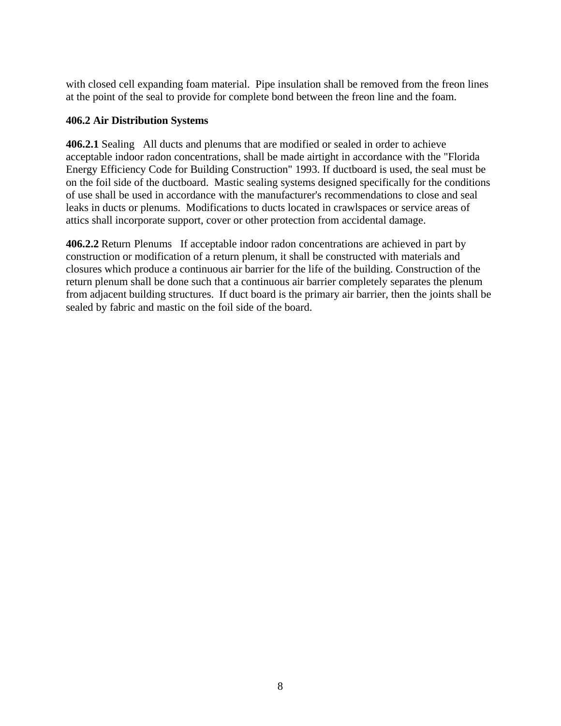with closed cell expanding foam material. Pipe insulation shall be removed from the freon lines at the point of the seal to provide for complete bond between the freon line and the foam.

# **406.2 Air Distribution Systems**

**406.2.1** Sealing All ducts and plenums that are modified or sealed in order to achieve acceptable indoor radon concentrations, shall be made airtight in accordance with the "Florida Energy Efficiency Code for Building Construction" 1993. If ductboard is used, the seal must be on the foil side of the ductboard. Mastic sealing systems designed specifically for the conditions of use shall be used in accordance with the manufacturer's recommendations to close and seal leaks in ducts or plenums. Modifications to ducts located in crawlspaces or service areas of attics shall incorporate support, cover or other protection from accidental damage.

**406.2.2** Return Plenums If acceptable indoor radon concentrations are achieved in part by construction or modification of a return plenum, it shall be constructed with materials and closures which produce a continuous air barrier for the life of the building. Construction of the return plenum shall be done such that a continuous air barrier completely separates the plenum from adjacent building structures. If duct board is the primary air barrier, then the joints shall be sealed by fabric and mastic on the foil side of the board.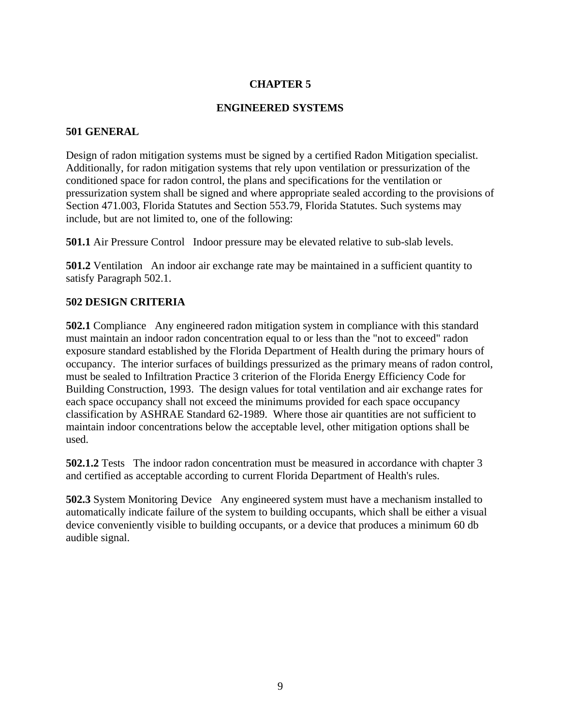# **ENGINEERED SYSTEMS**

#### **501 GENERAL**

Design of radon mitigation systems must be signed by a certified Radon Mitigation specialist. Additionally, for radon mitigation systems that rely upon ventilation or pressurization of the conditioned space for radon control, the plans and specifications for the ventilation or pressurization system shall be signed and where appropriate sealed according to the provisions of Section 471.003, Florida Statutes and Section 553.79, Florida Statutes. Such systems may include, but are not limited to, one of the following:

**501.1** Air Pressure Control Indoor pressure may be elevated relative to sub-slab levels.

**501.2** Ventilation An indoor air exchange rate may be maintained in a sufficient quantity to satisfy Paragraph 502.1.

# **502 DESIGN CRITERIA**

**502.1** Compliance Any engineered radon mitigation system in compliance with this standard must maintain an indoor radon concentration equal to or less than the "not to exceed" radon exposure standard established by the Florida Department of Health during the primary hours of occupancy. The interior surfaces of buildings pressurized as the primary means of radon control, must be sealed to Infiltration Practice 3 criterion of the Florida Energy Efficiency Code for Building Construction, 1993. The design values for total ventilation and air exchange rates for each space occupancy shall not exceed the minimums provided for each space occupancy classification by ASHRAE Standard 62-1989. Where those air quantities are not sufficient to maintain indoor concentrations below the acceptable level, other mitigation options shall be used.

**502.1.2** Tests The indoor radon concentration must be measured in accordance with chapter 3 and certified as acceptable according to current Florida Department of Health's rules.

**502.3** System Monitoring Device Any engineered system must have a mechanism installed to automatically indicate failure of the system to building occupants, which shall be either a visual device conveniently visible to building occupants, or a device that produces a minimum 60 db audible signal.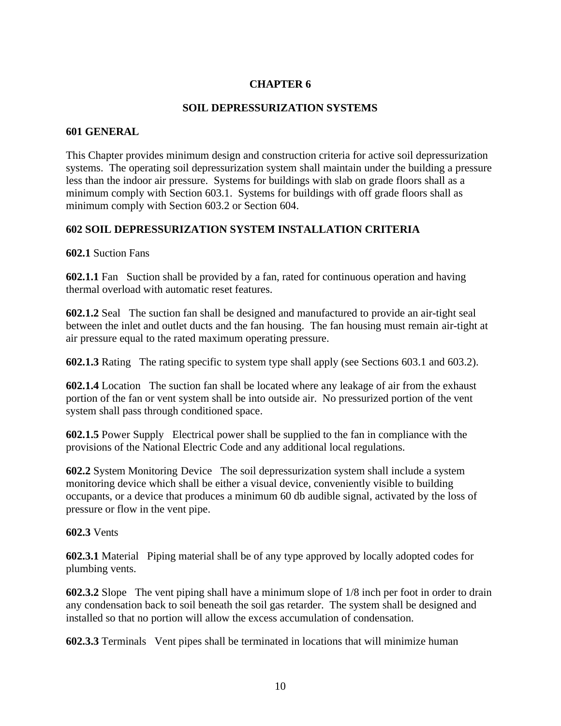# **SOIL DEPRESSURIZATION SYSTEMS**

#### **601 GENERAL**

This Chapter provides minimum design and construction criteria for active soil depressurization systems. The operating soil depressurization system shall maintain under the building a pressure less than the indoor air pressure. Systems for buildings with slab on grade floors shall as a minimum comply with Section 603.1. Systems for buildings with off grade floors shall as minimum comply with Section 603.2 or Section 604.

# **602 SOIL DEPRESSURIZATION SYSTEM INSTALLATION CRITERIA**

#### **602.1** Suction Fans

**602.1.1** Fan Suction shall be provided by a fan, rated for continuous operation and having thermal overload with automatic reset features.

**602.1.2** Seal The suction fan shall be designed and manufactured to provide an air-tight seal between the inlet and outlet ducts and the fan housing. The fan housing must remain air-tight at air pressure equal to the rated maximum operating pressure.

**602.1.3** Rating The rating specific to system type shall apply (see Sections 603.1 and 603.2).

**602.1.4** Location The suction fan shall be located where any leakage of air from the exhaust portion of the fan or vent system shall be into outside air. No pressurized portion of the vent system shall pass through conditioned space.

**602.1.5** Power Supply Electrical power shall be supplied to the fan in compliance with the provisions of the National Electric Code and any additional local regulations.

**602.2** System Monitoring Device The soil depressurization system shall include a system monitoring device which shall be either a visual device, conveniently visible to building occupants, or a device that produces a minimum 60 db audible signal, activated by the loss of pressure or flow in the vent pipe.

#### **602.3** Vents

**602.3.1** Material Piping material shall be of any type approved by locally adopted codes for plumbing vents.

**602.3.2** Slope The vent piping shall have a minimum slope of 1/8 inch per foot in order to drain any condensation back to soil beneath the soil gas retarder. The system shall be designed and installed so that no portion will allow the excess accumulation of condensation.

**602.3.3** Terminals Vent pipes shall be terminated in locations that will minimize human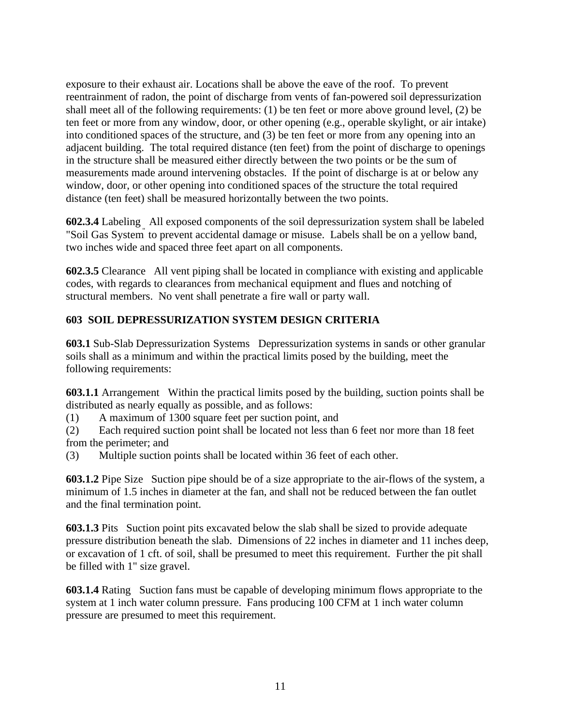exposure to their exhaust air. Locations shall be above the eave of the roof. To prevent reentrainment of radon, the point of discharge from vents of fan-powered soil depressurization shall meet all of the following requirements: (1) be ten feet or more above ground level, (2) be ten feet or more from any window, door, or other opening (e.g., operable skylight, or air intake) into conditioned spaces of the structure, and (3) be ten feet or more from any opening into an adjacent building. The total required distance (ten feet) from the point of discharge to openings in the structure shall be measured either directly between the two points or be the sum of measurements made around intervening obstacles. If the point of discharge is at or below any window, door, or other opening into conditioned spaces of the structure the total required distance (ten feet) shall be measured horizontally between the two points.

**602.3.4** Labeling All exposed components of the soil depressurization system shall be labeled "Soil Gas System" to prevent accidental damage or misuse. Labels shall be on a yellow band, two inches wide and spaced three feet apart on all components.

**602.3.5** Clearance All vent piping shall be located in compliance with existing and applicable codes, with regards to clearances from mechanical equipment and flues and notching of structural members. No vent shall penetrate a fire wall or party wall.

# **603 SOIL DEPRESSURIZATION SYSTEM DESIGN CRITERIA**

**603.1** Sub-Slab Depressurization Systems Depressurization systems in sands or other granular soils shall as a minimum and within the practical limits posed by the building, meet the following requirements:

**603.1.1** Arrangement Within the practical limits posed by the building, suction points shall be distributed as nearly equally as possible, and as follows:

(1) A maximum of 1300 square feet per suction point, and

(2) Each required suction point shall be located not less than 6 feet nor more than 18 feet from the perimeter; and

(3) Multiple suction points shall be located within 36 feet of each other.

**603.1.2** Pipe Size Suction pipe should be of a size appropriate to the air-flows of the system, a minimum of 1.5 inches in diameter at the fan, and shall not be reduced between the fan outlet and the final termination point.

**603.1.3** Pits Suction point pits excavated below the slab shall be sized to provide adequate pressure distribution beneath the slab. Dimensions of 22 inches in diameter and 11 inches deep, or excavation of 1 cft. of soil, shall be presumed to meet this requirement. Further the pit shall be filled with 1" size gravel.

**603.1.4** Rating Suction fans must be capable of developing minimum flows appropriate to the system at 1 inch water column pressure. Fans producing 100 CFM at 1 inch water column pressure are presumed to meet this requirement.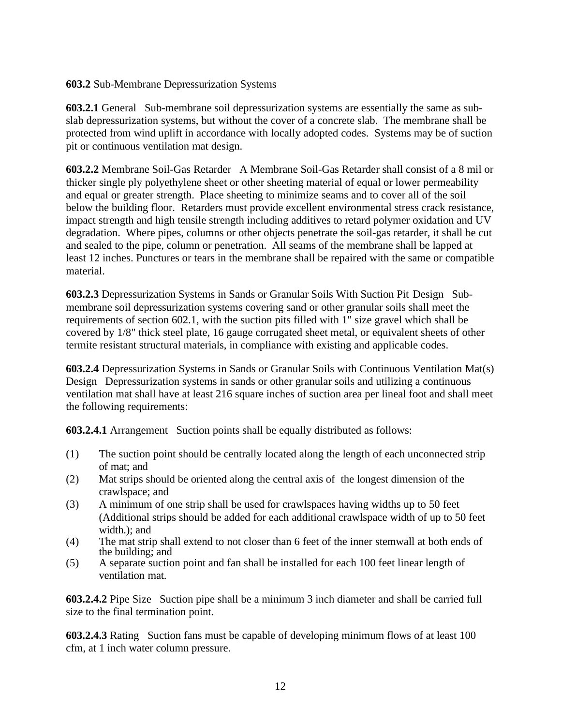#### **603.2** Sub-Membrane Depressurization Systems

**603.2.1** General Sub-membrane soil depressurization systems are essentially the same as subslab depressurization systems, but without the cover of a concrete slab. The membrane shall be protected from wind uplift in accordance with locally adopted codes. Systems may be of suction pit or continuous ventilation mat design.

**603.2.2** Membrane Soil-Gas Retarder A Membrane Soil-Gas Retarder shall consist of a 8 mil or thicker single ply polyethylene sheet or other sheeting material of equal or lower permeability and equal or greater strength. Place sheeting to minimize seams and to cover all of the soil below the building floor. Retarders must provide excellent environmental stress crack resistance, impact strength and high tensile strength including additives to retard polymer oxidation and UV degradation. Where pipes, columns or other objects penetrate the soil-gas retarder, it shall be cut and sealed to the pipe, column or penetration. All seams of the membrane shall be lapped at least 12 inches. Punctures or tears in the membrane shall be repaired with the same or compatible material.

**603.2.3** Depressurization Systems in Sands or Granular Soils With Suction Pit Design Submembrane soil depressurization systems covering sand or other granular soils shall meet the requirements of section 602.1, with the suction pits filled with 1" size gravel which shall be covered by 1/8" thick steel plate, 16 gauge corrugated sheet metal, or equivalent sheets of other termite resistant structural materials, in compliance with existing and applicable codes.

**603.2.4** Depressurization Systems in Sands or Granular Soils with Continuous Ventilation Mat(s) Design Depressurization systems in sands or other granular soils and utilizing a continuous ventilation mat shall have at least 216 square inches of suction area per lineal foot and shall meet the following requirements:

**603.2.4.1** Arrangement Suction points shall be equally distributed as follows:

- (1) The suction point should be centrally located along the length of each unconnected strip of mat; and
- (2) Mat strips should be oriented along the central axis of the longest dimension of the crawlspace; and
- (3) A minimum of one strip shall be used for crawlspaces having widths up to 50 feet (Additional strips should be added for each additional crawlspace width of up to 50 feet width.); and
- (4) The mat strip shall extend to not closer than 6 feet of the inner stemwall at both ends of the building; and
- (5) A separate suction point and fan shall be installed for each 100 feet linear length of ventilation mat.

**603.2.4.2** Pipe Size Suction pipe shall be a minimum 3 inch diameter and shall be carried full size to the final termination point.

**603.2.4.3** Rating Suction fans must be capable of developing minimum flows of at least 100 cfm, at 1 inch water column pressure.